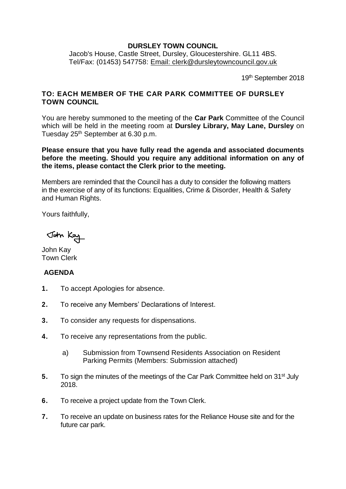## **DURSLEY TOWN COUNCIL**

Jacob's House, Castle Street, Dursley, Gloucestershire. GL11 4BS. Tel/Fax: (01453) 547758: [Email: clerk@dursleytowncouncil.gov.uk](mailto:clerk@dursleytowncouncil.gov.uk)

19<sup>th</sup> September 2018

## **TO: EACH MEMBER OF THE CAR PARK COMMITTEE OF DURSLEY TOWN COUNCIL**

You are hereby summoned to the meeting of the **Car Park** Committee of the Council which will be held in the meeting room at **Dursley Library, May Lane, Dursley** on Tuesday 25<sup>th</sup> September at 6.30 p.m.

**Please ensure that you have fully read the agenda and associated documents before the meeting. Should you require any additional information on any of the items, please contact the Clerk prior to the meeting.** 

Members are reminded that the Council has a duty to consider the following matters in the exercise of any of its functions: Equalities, Crime & Disorder, Health & Safety and Human Rights.

Yours faithfully,

John Kay

John Kay Town Clerk

## **AGENDA**

- **1.** To accept Apologies for absence.
- **2.** To receive any Members' Declarations of Interest.
- **3.** To consider any requests for dispensations.
- **4.** To receive any representations from the public.
	- a) Submission from Townsend Residents Association on Resident Parking Permits (Members: Submission attached)
- **5.** To sign the minutes of the meetings of the Car Park Committee held on 31<sup>st</sup> July 2018.
- **6.** To receive a project update from the Town Clerk.
- **7.** To receive an update on business rates for the Reliance House site and for the future car park.